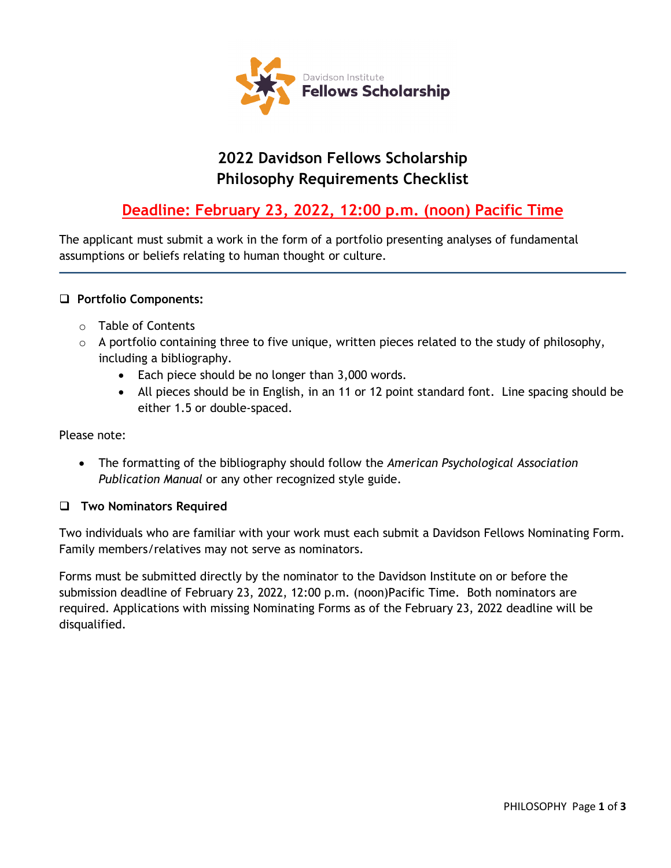

# **2022 Davidson Fellows Scholarship Philosophy Requirements Checklist**

# **Deadline: February 23, 2022, 12:00 p.m. (noon) Pacific Time**

The applicant must submit a work in the form of a portfolio presenting analyses of fundamental assumptions or beliefs relating to human thought or culture.

### **Portfolio Components:**

- o Table of Contents
- $\circ$  A portfolio containing three to five unique, written pieces related to the study of philosophy, including a bibliography.
	- Each piece should be no longer than 3,000 words.
	- All pieces should be in English, in an 11 or 12 point standard font. Line spacing should be either 1.5 or double-spaced.

#### Please note:

• The formatting of the bibliography should follow the *American Psychological Association Publication Manual* or any other recognized style guide.

#### **Two Nominators Required**

Two individuals who are familiar with your work must each submit a Davidson Fellows Nominating Form. Family members/relatives may not serve as nominators.

Forms must be submitted directly by the nominator to the Davidson Institute on or before the submission deadline of February 23, 2022, 12:00 p.m. (noon)Pacific Time. Both nominators are required. Applications with missing Nominating Forms as of the February 23, 2022 deadline will be disqualified.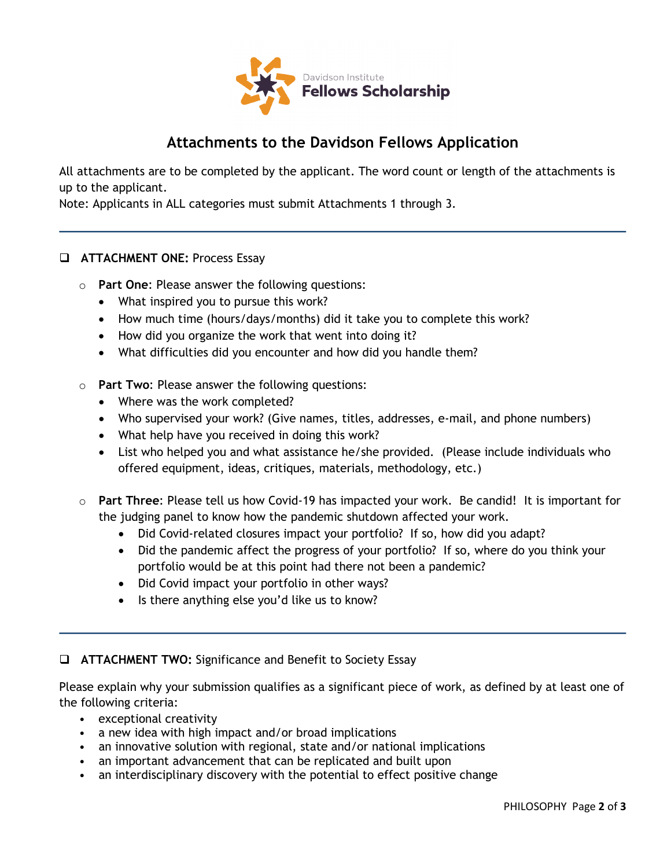

## **Attachments to the Davidson Fellows Application**

All attachments are to be completed by the applicant. The word count or length of the attachments is up to the applicant.

Note: Applicants in ALL categories must submit Attachments 1 through 3.

### **ATTACHMENT ONE: Process Essay**

- o **Part One**: Please answer the following questions:
	- What inspired you to pursue this work?
	- How much time (hours/days/months) did it take you to complete this work?
	- How did you organize the work that went into doing it?
	- What difficulties did you encounter and how did you handle them?
- o **Part Two**: Please answer the following questions:
	- Where was the work completed?
	- Who supervised your work? (Give names, titles, addresses, e-mail, and phone numbers)
	- What help have you received in doing this work?
	- List who helped you and what assistance he/she provided. (Please include individuals who offered equipment, ideas, critiques, materials, methodology, etc.)
- o **Part Three**: Please tell us how Covid-19 has impacted your work. Be candid! It is important for the judging panel to know how the pandemic shutdown affected your work.
	- Did Covid-related closures impact your portfolio? If so, how did you adapt?
	- Did the pandemic affect the progress of your portfolio? If so, where do you think your portfolio would be at this point had there not been a pandemic?
	- Did Covid impact your portfolio in other ways?
	- Is there anything else you'd like us to know?

#### **ATTACHMENT TWO:** Significance and Benefit to Society Essay

Please explain why your submission qualifies as a significant piece of work, as defined by at least one of the following criteria:

- exceptional creativity
- a new idea with high impact and/or broad implications
- an innovative solution with regional, state and/or national implications
- an important advancement that can be replicated and built upon
- an interdisciplinary discovery with the potential to effect positive change